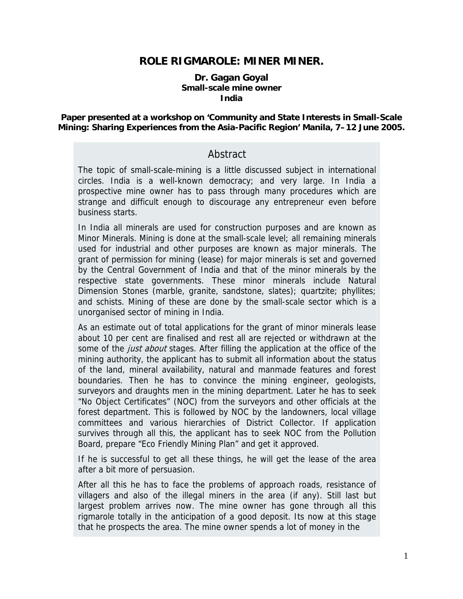## **ROLE RIGMAROLE: MINER MINER.**

#### **Dr. Gagan Goyal Small-scale mine owner India**

#### **Paper presented at a workshop on 'Community and State Interests in Small-Scale Mining: Sharing Experiences from the Asia-Pacific Region' Manila, 7–12 June 2005.**

### Abstract

The topic of small-scale-mining is a little discussed subject in international circles. India is a well-known democracy; and very large. In India a prospective mine owner has to pass through many procedures which are strange and difficult enough to discourage any entrepreneur even before business starts.

In India all minerals are used for construction purposes and are known as Minor Minerals. Mining is done at the small-scale level; all remaining minerals used for industrial and other purposes are known as major minerals. The grant of permission for mining (lease) for major minerals is set and governed by the Central Government of India and that of the minor minerals by the respective state governments. These minor minerals include Natural Dimension Stones (marble, granite, sandstone, slates); quartzite; phyllites; and schists. Mining of these are done by the small-scale sector which is a unorganised sector of mining in India.

As an estimate out of total applications for the grant of minor minerals lease about 10 per cent are finalised and rest all are rejected or withdrawn at the some of the *just about* stages. After filling the application at the office of the mining authority, the applicant has to submit all information about the status of the land, mineral availability, natural and manmade features and forest boundaries. Then he has to convince the mining engineer, geologists, surveyors and draughts men in the mining department. Later he has to seek "No Object Certificates" (NOC) from the surveyors and other officials at the forest department. This is followed by NOC by the landowners, local village committees and various hierarchies of District Collector. If application survives through all this, the applicant has to seek NOC from the Pollution Board, prepare "Eco Friendly Mining Plan" and get it approved.

If he is successful to get all these things, he will get the lease of the area after a bit more of persuasion.

After all this he has to face the problems of approach roads, resistance of villagers and also of the illegal miners in the area (if any). Still last but largest problem arrives now. The mine owner has gone through all this rigmarole totally in the anticipation of a good deposit. Its now at this stage that he prospects the area. The mine owner spends a lot of money in the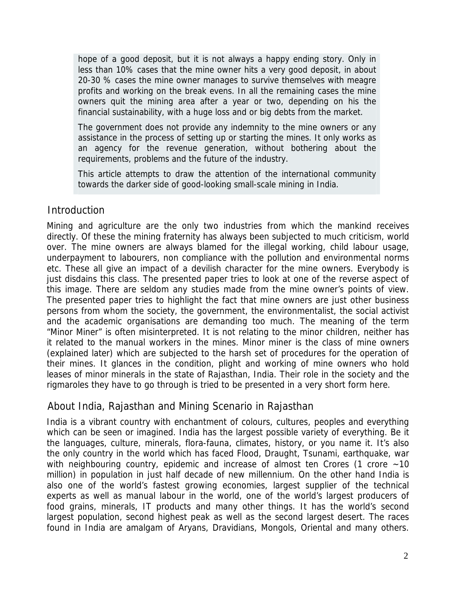hope of a good deposit, but it is not always a happy ending story. Only in less than 10% cases that the mine owner hits a very good deposit, in about 20-30 % cases the mine owner manages to survive themselves with meagre profits and working on the break evens. In all the remaining cases the mine owners quit the mining area after a year or two, depending on his the financial sustainability, with a huge loss and or big debts from the market.

The government does not provide any indemnity to the mine owners or any assistance in the process of setting up or starting the mines. It only works as an agency for the revenue generation, without bothering about the requirements, problems and the future of the industry.

This article attempts to draw the attention of the international community towards the darker side of good-looking small-scale mining in India.

### **Introduction**

Mining and agriculture are the only two industries from which the mankind receives directly. Of these the mining fraternity has always been subjected to much criticism, world over. The mine owners are always blamed for the illegal working, child labour usage, underpayment to labourers, non compliance with the pollution and environmental norms etc. These all give an impact of a devilish character for the mine owners. Everybody is just disdains this class. The presented paper tries to look at one of the reverse aspect of this image. There are seldom any studies made from the mine owner's points of view. The presented paper tries to highlight the fact that mine owners are just other business persons from whom the society, the government, the environmentalist, the social activist and the academic organisations are demanding too much. The meaning of the term "Minor Miner" is often misinterpreted. It is not relating to the minor children, neither has it related to the manual workers in the mines. Minor miner is the class of mine owners (explained later) which are subjected to the harsh set of procedures for the operation of their mines. It glances in the condition, plight and working of mine owners who hold leases of minor minerals in the state of Rajasthan, India. Their role in the society and the rigmaroles they have to go through is tried to be presented in a very short form here.

## About India, Rajasthan and Mining Scenario in Rajasthan

India is a vibrant country with enchantment of colours, cultures, peoples and everything which can be seen or imagined. India has the largest possible variety of everything. Be it the languages, culture, minerals, flora-fauna, climates, history, or you name it. It's also the only country in the world which has faced Flood, Draught, Tsunami, earthquake, war with neighbouring country, epidemic and increase of almost ten Crores (1 crore  $\sim$  10 million) in population in just half decade of new millennium. On the other hand India is also one of the world's fastest growing economies, largest supplier of the technical experts as well as manual labour in the world, one of the world's largest producers of food grains, minerals, IT products and many other things. It has the world's second largest population, second highest peak as well as the second largest desert. The races found in India are amalgam of Aryans, Dravidians, Mongols, Oriental and many others.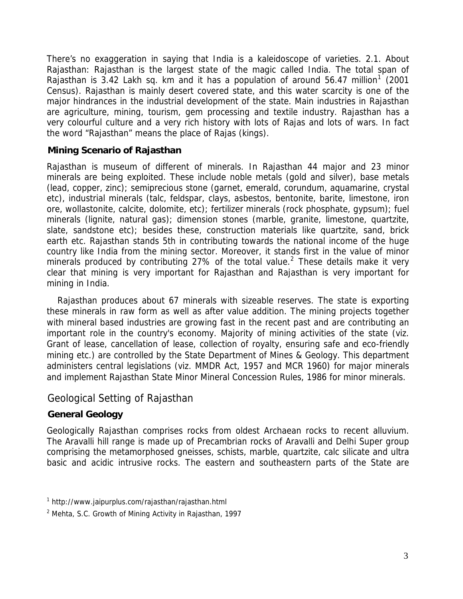There's no exaggeration in saying that India is a kaleidoscope of varieties. 2.1. About Rajasthan: Rajasthan is the largest state of the magic called India. The total span of Rajasthan is 3.42 Lakh sq. km and it has a population of around 56.47 million<sup>[1](#page-2-0)</sup> (2001 Census). Rajasthan is mainly desert covered state, and this water scarcity is one of the major hindrances in the industrial development of the state. Main industries in Rajasthan are agriculture, mining, tourism, gem processing and textile industry. Rajasthan has a very colourful culture and a very rich history with lots of Rajas and lots of wars. In fact the word "Rajasthan" means the place of Rajas (kings).

#### **Mining Scenario of Rajasthan**

Rajasthan is museum of different of minerals. In Rajasthan 44 major and 23 minor minerals are being exploited. These include noble metals (gold and silver), base metals (lead, copper, zinc); semiprecious stone (garnet, emerald, corundum, aquamarine, crystal etc), industrial minerals (talc, feldspar, clays, asbestos, bentonite, barite, limestone, iron ore, wollastonite, calcite, dolomite, etc); fertilizer minerals (rock phosphate, gypsum); fuel minerals (lignite, natural gas); dimension stones (marble, granite, limestone, quartzite, slate, sandstone etc); besides these, construction materials like quartzite, sand, brick earth etc. Rajasthan stands 5th in contributing towards the national income of the huge country like India from the mining sector. Moreover, it stands first in the value of minor minerals produced by contributing [2](#page-2-1)7% of the total value.<sup>2</sup> These details make it very clear that mining is very important for Rajasthan and Rajasthan is very important for mining in India.

Rajasthan produces about 67 minerals with sizeable reserves. The state is exporting these minerals in raw form as well as after value addition. The mining projects together with mineral based industries are growing fast in the recent past and are contributing an important role in the country's economy. Majority of mining activities of the state (viz. Grant of lease, cancellation of lease, collection of royalty, ensuring safe and eco-friendly mining etc.) are controlled by the State Department of Mines & Geology. This department administers central legislations (viz. MMDR Act, 1957 and MCR 1960) for major minerals and implement Rajasthan State Minor Mineral Concession Rules, 1986 for minor minerals.

### Geological Setting of Rajasthan

### **General Geology**

Geologically Rajasthan comprises rocks from oldest Archaean rocks to recent alluvium. The Aravalli hill range is made up of Precambrian rocks of Aravalli and Delhi Super group comprising the metamorphosed gneisses, schists, marble, quartzite, calc silicate and ultra basic and acidic intrusive rocks. The eastern and southeastern parts of the State are

<span id="page-2-0"></span><sup>1</sup> http://www.jaipurplus.com/rajasthan/rajasthan.html

<span id="page-2-1"></span><sup>&</sup>lt;sup>2</sup> Mehta, S.C. Growth of Mining Activity in Rajasthan, 1997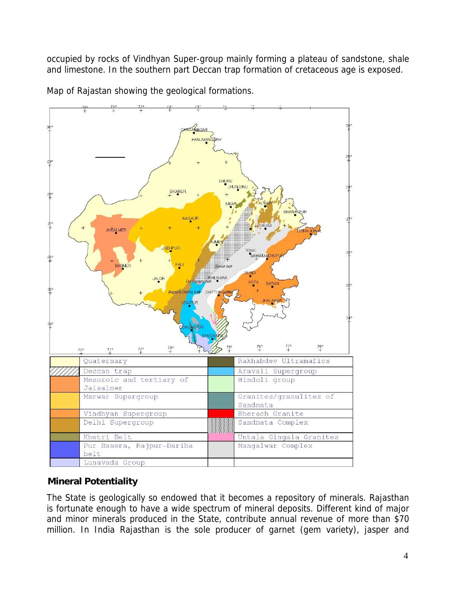occupied by rocks of Vindhyan Super-group mainly forming a plateau of sandstone, shale and limestone. In the southern part Deccan trap formation of cretaceous age is exposed.



Map of Rajastan showing the geological formations.

# **Mineral Potentiality**

The State is geologically so endowed that it becomes a repository of minerals. Rajasthan is fortunate enough to have a wide spectrum of mineral deposits. Different kind of major and minor minerals produced in the State, contribute annual revenue of more than \$70 million. In India Rajasthan is the sole producer of garnet (gem variety), jasper and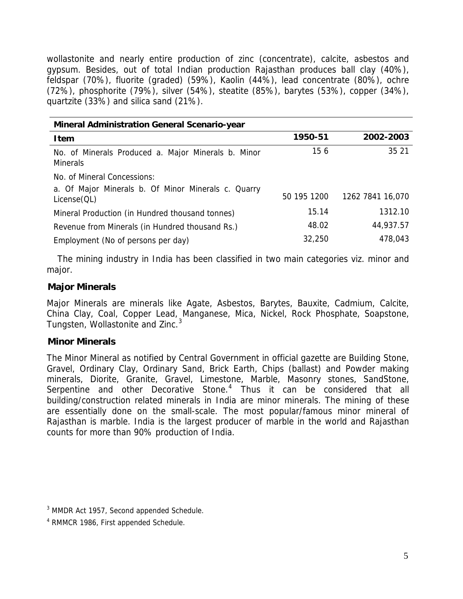wollastonite and nearly entire production of zinc (concentrate), calcite, asbestos and gypsum. Besides, out of total Indian production Rajasthan produces ball clay (40%), feldspar (70%), fluorite (graded) (59%), Kaolin (44%), lead concentrate (80%), ochre (72%), phosphorite (79%), silver (54%), steatite (85%), barytes (53%), copper (34%), quartzite (33%) and silica sand (21%).

| <b>Mineral Administration General Scenario-year</b>                    |             |                  |  |  |  |
|------------------------------------------------------------------------|-------------|------------------|--|--|--|
| Item                                                                   | 1950-51     | 2002-2003        |  |  |  |
| No. of Minerals Produced a. Major Minerals b. Minor<br><b>Minerals</b> | 156         | 35 21            |  |  |  |
| No. of Mineral Concessions:                                            |             |                  |  |  |  |
| a. Of Major Minerals b. Of Minor Minerals c. Quarry<br>License(QL)     | 50 195 1200 | 1262 7841 16,070 |  |  |  |
| Mineral Production (in Hundred thousand tonnes)                        | 15.14       | 1312.10          |  |  |  |
| Revenue from Minerals (in Hundred thousand Rs.)                        | 48.02       | 44,937.57        |  |  |  |
| Employment (No of persons per day)                                     | 32,250      | 478,043          |  |  |  |

The mining industry in India has been classified in two main categories viz. minor and major.

#### **Major Minerals**

Major Minerals are minerals like Agate, Asbestos, Barytes, Bauxite, Cadmium, Calcite, China Clay, Coal, Copper Lead, Manganese, Mica, Nickel, Rock Phosphate, Soapstone, Tungsten, Wollastonite and Zinc.<sup>[3](#page-4-0)</sup>

#### **Minor Minerals**

The Minor Mineral as notified by Central Government in official gazette are Building Stone, Gravel, Ordinary Clay, Ordinary Sand, Brick Earth, Chips (ballast) and Powder making minerals, Diorite, Granite, Gravel, Limestone, Marble, Masonry stones, SandStone, Serpentine and other Decorative Stone.<sup>[4](#page-4-1)</sup> Thus it can be considered that all building/construction related minerals in India are minor minerals. The mining of these are essentially done on the small-scale. The most popular/famous minor mineral of Rajasthan is marble. India is the largest producer of marble in the world and Rajasthan counts for more than 90% production of India.

<span id="page-4-0"></span><sup>&</sup>lt;sup>3</sup> MMDR Act 1957, Second appended Schedule.

<span id="page-4-1"></span><sup>4</sup> RMMCR 1986, First appended Schedule.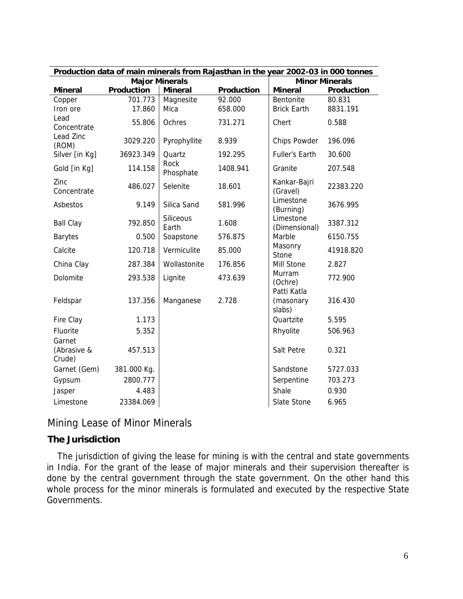| Production data of main minerals from Rajasthan in the year 2002-03 in 000 tonnes |             |                    |            |                            |            |  |  |
|-----------------------------------------------------------------------------------|-------------|--------------------|------------|----------------------------|------------|--|--|
| <b>Major Minerals</b>                                                             |             |                    |            | <b>Minor Minerals</b>      |            |  |  |
| <b>Mineral</b>                                                                    | Production  | <b>Mineral</b>     | Production | <b>Mineral</b>             | Production |  |  |
| Copper                                                                            | 701.773     | Magnesite          | 92.000     | <b>Bentonite</b>           | 80.831     |  |  |
| Iron ore                                                                          | 17.860      | Mica               | 658.000    | <b>Brick Earth</b>         | 8831.191   |  |  |
| Lead                                                                              | 55.806      | Ochres             | 731.271    | Chert                      | 0.588      |  |  |
| Concentrate                                                                       |             |                    |            |                            |            |  |  |
| Lead Zinc<br>(ROM)                                                                | 3029.220    | Pyrophyllite       | 8.939      | Chips Powder               | 196.096    |  |  |
| Silver [in Kg]                                                                    | 36923.349   | Quartz             | 192.295    | <b>Fuller's Earth</b>      | 30.600     |  |  |
|                                                                                   |             | Rock               |            |                            |            |  |  |
| Gold [in Kg]                                                                      | 114.158     | Phosphate          | 1408.941   | Granite                    | 207.548    |  |  |
| Zinc                                                                              | 486.027     | Selenite           | 18.601     | Kankar-Bajri               | 22383.220  |  |  |
| Concentrate                                                                       |             |                    |            | (Gravel)                   |            |  |  |
| Asbestos                                                                          | 9.149       | Silica Sand        | 581.996    | Limestone                  | 3676.995   |  |  |
|                                                                                   |             |                    |            | (Burning)                  |            |  |  |
| <b>Ball Clay</b>                                                                  | 792.850     | Siliceous<br>Earth | 1.608      | Limestone<br>(Dimensional) | 3387.312   |  |  |
| <b>Barytes</b>                                                                    | 0.500       | Soapstone          | 576.875    | Marble                     | 6150.755   |  |  |
|                                                                                   |             |                    |            | Masonry                    |            |  |  |
| Calcite                                                                           | 120.718     | Vermiculite        | 85.000     | Stone                      | 41918.820  |  |  |
| China Clay                                                                        | 287.384     | Wollastonite       | 176.856    | Mill Stone                 | 2.827      |  |  |
| Dolomite                                                                          | 293.538     | Lignite            | 473.639    | Murram                     | 772.900    |  |  |
|                                                                                   |             |                    |            | (Ochre)                    |            |  |  |
|                                                                                   | 137.356     |                    | 2.728      | Patti Katla                | 316.430    |  |  |
| Feldspar                                                                          |             | Manganese          |            | (masonary<br>slabs)        |            |  |  |
| Fire Clay                                                                         | 1.173       |                    |            | Quartzite                  | 5.595      |  |  |
| Fluorite                                                                          | 5.352       |                    |            | Rhyolite                   | 506.963    |  |  |
| Garnet                                                                            |             |                    |            |                            |            |  |  |
| (Abrasive &                                                                       | 457.513     |                    |            | Salt Petre                 | 0.321      |  |  |
| Crude)                                                                            |             |                    |            |                            |            |  |  |
| Garnet (Gem)                                                                      | 381.000 Kg. |                    |            | Sandstone                  | 5727.033   |  |  |
| Gypsum                                                                            | 2800.777    |                    |            | Serpentine                 | 703.273    |  |  |
| Jasper                                                                            | 4.483       |                    |            | Shale                      | 0.930      |  |  |
| Limestone                                                                         | 23384.069   |                    |            | Slate Stone                | 6.965      |  |  |

# Mining Lease of Minor Minerals

### **The Jurisdiction**

The jurisdiction of giving the lease for mining is with the central and state governments in India. For the grant of the lease of major minerals and their supervision thereafter is done by the central government through the state government. On the other hand this whole process for the minor minerals is formulated and executed by the respective State Governments.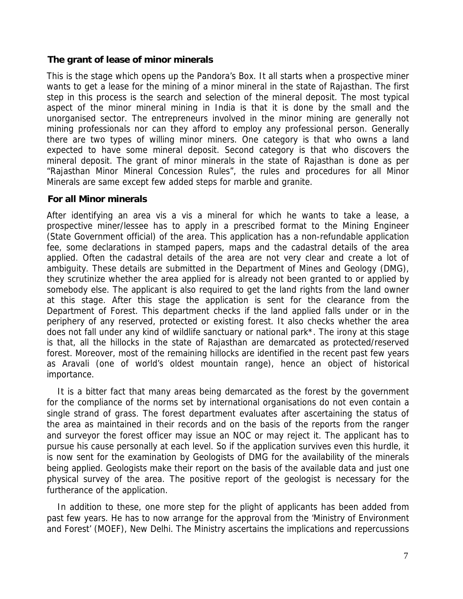#### **The grant of lease of minor minerals**

This is the stage which opens up the Pandora's Box. It all starts when a prospective miner wants to get a lease for the mining of a minor mineral in the state of Rajasthan. The first step in this process is the search and selection of the mineral deposit. The most typical aspect of the minor mineral mining in India is that it is done by the small and the unorganised sector. The entrepreneurs involved in the minor mining are generally not mining professionals nor can they afford to employ any professional person. Generally there are two types of willing minor miners. One category is that who owns a land expected to have some mineral deposit. Second category is that who discovers the mineral deposit. The grant of minor minerals in the state of Rajasthan is done as per "Rajasthan Minor Mineral Concession Rules", the rules and procedures for all Minor Minerals are same except few added steps for marble and granite.

#### **For all Minor minerals**

After identifying an area vis a vis a mineral for which he wants to take a lease, a prospective miner/lessee has to apply in a prescribed format to the Mining Engineer (State Government official) of the area. This application has a non-refundable application fee, some declarations in stamped papers, maps and the cadastral details of the area applied. Often the cadastral details of the area are not very clear and create a lot of ambiguity. These details are submitted in the Department of Mines and Geology (DMG), they scrutinize whether the area applied for is already not been granted to or applied by somebody else. The applicant is also required to get the land rights from the land owner at this stage. After this stage the application is sent for the clearance from the Department of Forest. This department checks if the land applied falls under or in the periphery of any reserved, protected or existing forest. It also checks whether the area does not fall under any kind of wildlife sanctuary or national park\*. The irony at this stage is that, all the hillocks in the state of Rajasthan are demarcated as protected/reserved forest. Moreover, most of the remaining hillocks are identified in the recent past few years as Aravali (one of world's oldest mountain range), hence an object of historical importance.

It is a bitter fact that many areas being demarcated as the forest by the government for the compliance of the norms set by international organisations do not even contain a single strand of grass. The forest department evaluates after ascertaining the status of the area as maintained in their records and on the basis of the reports from the ranger and surveyor the forest officer may issue an NOC or may reject it. The applicant has to pursue his cause personally at each level. So if the application survives even this hurdle, it is now sent for the examination by Geologists of DMG for the availability of the minerals being applied. Geologists make their report on the basis of the available data and just one physical survey of the area. The positive report of the geologist is necessary for the furtherance of the application.

In addition to these, one more step for the plight of applicants has been added from past few years. He has to now arrange for the approval from the 'Ministry of Environment and Forest' (MOEF), New Delhi. The Ministry ascertains the implications and repercussions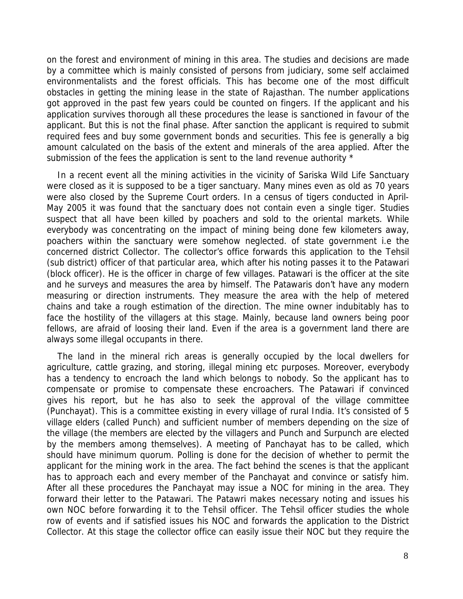on the forest and environment of mining in this area. The studies and decisions are made by a committee which is mainly consisted of persons from judiciary, some self acclaimed environmentalists and the forest officials. This has become one of the most difficult obstacles in getting the mining lease in the state of Rajasthan. The number applications got approved in the past few years could be counted on fingers. If the applicant and his application survives thorough all these procedures the lease is sanctioned in favour of the applicant. But this is not the final phase. After sanction the applicant is required to submit required fees and buy some government bonds and securities. This fee is generally a big amount calculated on the basis of the extent and minerals of the area applied. After the submission of the fees the application is sent to the land revenue authority  $*$ 

In a recent event all the mining activities in the vicinity of Sariska Wild Life Sanctuary were closed as it is supposed to be a tiger sanctuary. Many mines even as old as 70 years were also closed by the Supreme Court orders. In a census of tigers conducted in April-May 2005 it was found that the sanctuary does not contain even a single tiger. Studies suspect that all have been killed by poachers and sold to the oriental markets. While everybody was concentrating on the impact of mining being done few kilometers away, poachers within the sanctuary were somehow neglected. of state government i.e the concerned district Collector. The collector's office forwards this application to the Tehsil (sub district) officer of that particular area, which after his noting passes it to the Patawari (block officer). He is the officer in charge of few villages. Patawari is the officer at the site and he surveys and measures the area by himself. The Patawaris don't have any modern measuring or direction instruments. They measure the area with the help of metered chains and take a rough estimation of the direction. The mine owner indubitably has to face the hostility of the villagers at this stage. Mainly, because land owners being poor fellows, are afraid of loosing their land. Even if the area is a government land there are always some illegal occupants in there.

The land in the mineral rich areas is generally occupied by the local dwellers for agriculture, cattle grazing, and storing, illegal mining etc purposes. Moreover, everybody has a tendency to encroach the land which belongs to nobody. So the applicant has to compensate or promise to compensate these encroachers. The Patawari if convinced gives his report, but he has also to seek the approval of the village committee (Punchayat). This is a committee existing in every village of rural India. It's consisted of 5 village elders (called Punch) and sufficient number of members depending on the size of the village (the members are elected by the villagers and Punch and Surpunch are elected by the members among themselves). A meeting of Panchayat has to be called, which should have minimum quorum. Polling is done for the decision of whether to permit the applicant for the mining work in the area. The fact behind the scenes is that the applicant has to approach each and every member of the Panchayat and convince or satisfy him. After all these procedures the Panchayat may issue a NOC for mining in the area. They forward their letter to the Patawari. The Patawri makes necessary noting and issues his own NOC before forwarding it to the Tehsil officer. The Tehsil officer studies the whole row of events and if satisfied issues his NOC and forwards the application to the District Collector. At this stage the collector office can easily issue their NOC but they require the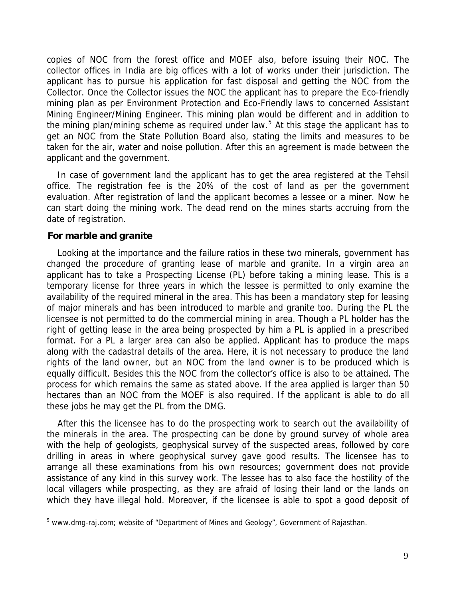copies of NOC from the forest office and MOEF also, before issuing their NOC. The collector offices in India are big offices with a lot of works under their jurisdiction. The applicant has to pursue his application for fast disposal and getting the NOC from the Collector. Once the Collector issues the NOC the applicant has to prepare the Eco-friendly mining plan as per Environment Protection and Eco-Friendly laws to concerned Assistant Mining Engineer/Mining Engineer. This mining plan would be different and in addition to the mining plan/mining scheme as required under law.<sup>[5](#page-8-0)</sup> At this stage the applicant has to get an NOC from the State Pollution Board also, stating the limits and measures to be taken for the air, water and noise pollution. After this an agreement is made between the applicant and the government.

In case of government land the applicant has to get the area registered at the Tehsil office. The registration fee is the 20% of the cost of land as per the government evaluation. After registration of land the applicant becomes a lessee or a miner. Now he can start doing the mining work. The dead rend on the mines starts accruing from the date of registration.

#### **For marble and granite**

Looking at the importance and the failure ratios in these two minerals, government has changed the procedure of granting lease of marble and granite. In a virgin area an applicant has to take a Prospecting License (PL) before taking a mining lease. This is a temporary license for three years in which the lessee is permitted to only examine the availability of the required mineral in the area. This has been a mandatory step for leasing of major minerals and has been introduced to marble and granite too. During the PL the licensee is not permitted to do the commercial mining in area. Though a PL holder has the right of getting lease in the area being prospected by him a PL is applied in a prescribed format. For a PL a larger area can also be applied. Applicant has to produce the maps along with the cadastral details of the area. Here, it is not necessary to produce the land rights of the land owner, but an NOC from the land owner is to be produced which is equally difficult. Besides this the NOC from the collector's office is also to be attained. The process for which remains the same as stated above. If the area applied is larger than 50 hectares than an NOC from the MOEF is also required. If the applicant is able to do all these jobs he may get the PL from the DMG.

After this the licensee has to do the prospecting work to search out the availability of the minerals in the area. The prospecting can be done by ground survey of whole area with the help of geologists, geophysical survey of the suspected areas, followed by core drilling in areas in where geophysical survey gave good results. The licensee has to arrange all these examinations from his own resources; government does not provide assistance of any kind in this survey work. The lessee has to also face the hostility of the local villagers while prospecting, as they are afraid of losing their land or the lands on which they have illegal hold. Moreover, if the licensee is able to spot a good deposit of

<span id="page-8-0"></span><sup>&</sup>lt;sup>5</sup> www.dmg-raj.com; website of "Department of Mines and Geology", Government of Rajasthan.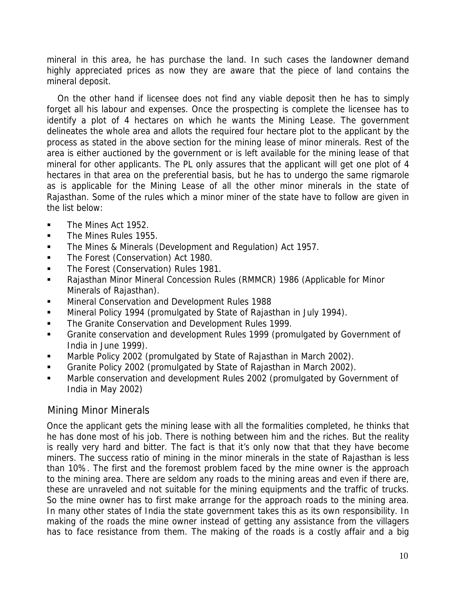mineral in this area, he has purchase the land. In such cases the landowner demand highly appreciated prices as now they are aware that the piece of land contains the mineral deposit.

On the other hand if licensee does not find any viable deposit then he has to simply forget all his labour and expenses. Once the prospecting is complete the licensee has to identify a plot of 4 hectares on which he wants the Mining Lease. The government delineates the whole area and allots the required four hectare plot to the applicant by the process as stated in the above section for the mining lease of minor minerals. Rest of the area is either auctioned by the government or is left available for the mining lease of that mineral for other applicants. The PL only assures that the applicant will get one plot of 4 hectares in that area on the preferential basis, but he has to undergo the same rigmarole as is applicable for the Mining Lease of all the other minor minerals in the state of Rajasthan. Some of the rules which a minor miner of the state have to follow are given in the list below:

- The Mines Act 1952.
- **The Mines Rules 1955.**
- The Mines & Minerals (Development and Regulation) Act 1957.
- The Forest (Conservation) Act 1980.
- **The Forest (Conservation) Rules 1981.**
- Rajasthan Minor Mineral Concession Rules (RMMCR) 1986 (Applicable for Minor Minerals of Rajasthan).
- Mineral Conservation and Development Rules 1988
- Mineral Policy 1994 (promulgated by State of Rajasthan in July 1994).
- The Granite Conservation and Development Rules 1999.
- Granite conservation and development Rules 1999 (promulgated by Government of India in June 1999).
- Marble Policy 2002 (promulgated by State of Rajasthan in March 2002).
- Granite Policy 2002 (promulgated by State of Rajasthan in March 2002).
- Marble conservation and development Rules 2002 (promulgated by Government of India in May 2002)

## Mining Minor Minerals

Once the applicant gets the mining lease with all the formalities completed, he thinks that he has done most of his job. There is nothing between him and the riches. But the reality is really very hard and bitter. The fact is that it's only now that that they have become miners. The success ratio of mining in the minor minerals in the state of Rajasthan is less than 10%. The first and the foremost problem faced by the mine owner is the approach to the mining area. There are seldom any roads to the mining areas and even if there are, these are unraveled and not suitable for the mining equipments and the traffic of trucks. So the mine owner has to first make arrange for the approach roads to the mining area. In many other states of India the state government takes this as its own responsibility. In making of the roads the mine owner instead of getting any assistance from the villagers has to face resistance from them. The making of the roads is a costly affair and a big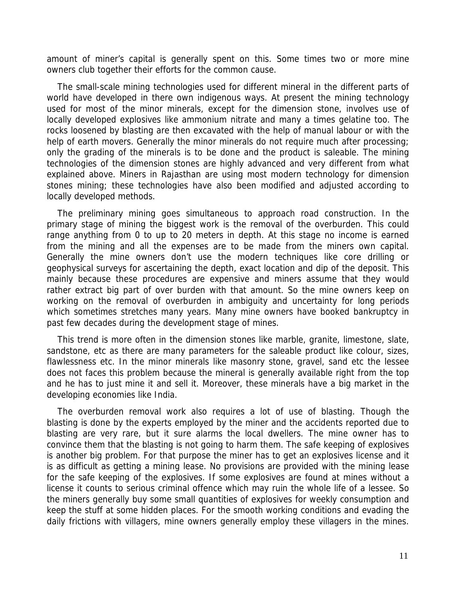amount of miner's capital is generally spent on this. Some times two or more mine owners club together their efforts for the common cause.

The small-scale mining technologies used for different mineral in the different parts of world have developed in there own indigenous ways. At present the mining technology used for most of the minor minerals, except for the dimension stone, involves use of locally developed explosives like ammonium nitrate and many a times gelatine too. The rocks loosened by blasting are then excavated with the help of manual labour or with the help of earth movers. Generally the minor minerals do not require much after processing; only the grading of the minerals is to be done and the product is saleable. The mining technologies of the dimension stones are highly advanced and very different from what explained above. Miners in Rajasthan are using most modern technology for dimension stones mining; these technologies have also been modified and adjusted according to locally developed methods.

The preliminary mining goes simultaneous to approach road construction. In the primary stage of mining the biggest work is the removal of the overburden. This could range anything from 0 to up to 20 meters in depth. At this stage no income is earned from the mining and all the expenses are to be made from the miners own capital. Generally the mine owners don't use the modern techniques like core drilling or geophysical surveys for ascertaining the depth, exact location and dip of the deposit. This mainly because these procedures are expensive and miners assume that they would rather extract big part of over burden with that amount. So the mine owners keep on working on the removal of overburden in ambiguity and uncertainty for long periods which sometimes stretches many years. Many mine owners have booked bankruptcy in past few decades during the development stage of mines.

This trend is more often in the dimension stones like marble, granite, limestone, slate, sandstone, etc as there are many parameters for the saleable product like colour, sizes, flawlessness etc. In the minor minerals like masonry stone, gravel, sand etc the lessee does not faces this problem because the mineral is generally available right from the top and he has to just mine it and sell it. Moreover, these minerals have a big market in the developing economies like India.

The overburden removal work also requires a lot of use of blasting. Though the blasting is done by the experts employed by the miner and the accidents reported due to blasting are very rare, but it sure alarms the local dwellers. The mine owner has to convince them that the blasting is not going to harm them. The safe keeping of explosives is another big problem. For that purpose the miner has to get an explosives license and it is as difficult as getting a mining lease. No provisions are provided with the mining lease for the safe keeping of the explosives. If some explosives are found at mines without a license it counts to serious criminal offence which may ruin the whole life of a lessee. So the miners generally buy some small quantities of explosives for weekly consumption and keep the stuff at some hidden places. For the smooth working conditions and evading the daily frictions with villagers, mine owners generally employ these villagers in the mines.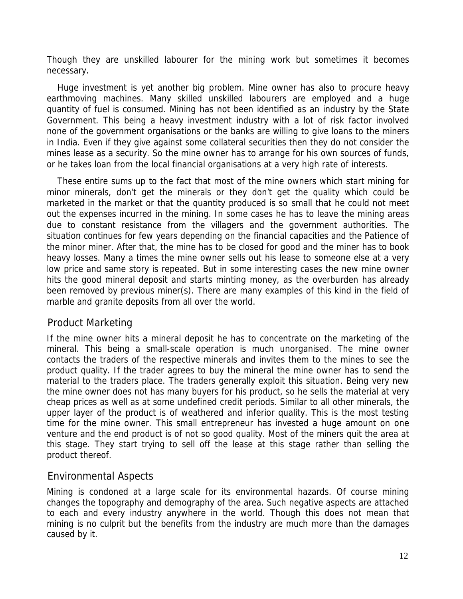Though they are unskilled labourer for the mining work but sometimes it becomes necessary.

Huge investment is yet another big problem. Mine owner has also to procure heavy earthmoving machines. Many skilled unskilled labourers are employed and a huge quantity of fuel is consumed. Mining has not been identified as an industry by the State Government. This being a heavy investment industry with a lot of risk factor involved none of the government organisations or the banks are willing to give loans to the miners in India. Even if they give against some collateral securities then they do not consider the mines lease as a security. So the mine owner has to arrange for his own sources of funds, or he takes loan from the local financial organisations at a very high rate of interests.

These entire sums up to the fact that most of the mine owners which start mining for minor minerals, don't get the minerals or they don't get the quality which could be marketed in the market or that the quantity produced is so small that he could not meet out the expenses incurred in the mining. In some cases he has to leave the mining areas due to constant resistance from the villagers and the government authorities. The situation continues for few years depending on the financial capacities and the Patience of the minor miner. After that, the mine has to be closed for good and the miner has to book heavy losses. Many a times the mine owner sells out his lease to someone else at a very low price and same story is repeated. But in some interesting cases the new mine owner hits the good mineral deposit and starts minting money, as the overburden has already been removed by previous miner(s). There are many examples of this kind in the field of marble and granite deposits from all over the world.

## Product Marketing

If the mine owner hits a mineral deposit he has to concentrate on the marketing of the mineral. This being a small-scale operation is much unorganised. The mine owner contacts the traders of the respective minerals and invites them to the mines to see the product quality. If the trader agrees to buy the mineral the mine owner has to send the material to the traders place. The traders generally exploit this situation. Being very new the mine owner does not has many buyers for his product, so he sells the material at very cheap prices as well as at some undefined credit periods. Similar to all other minerals, the upper layer of the product is of weathered and inferior quality. This is the most testing time for the mine owner. This small entrepreneur has invested a huge amount on one venture and the end product is of not so good quality. Most of the miners quit the area at this stage. They start trying to sell off the lease at this stage rather than selling the product thereof.

## Environmental Aspects

Mining is condoned at a large scale for its environmental hazards. Of course mining changes the topography and demography of the area. Such negative aspects are attached to each and every industry anywhere in the world. Though this does not mean that mining is no culprit but the benefits from the industry are much more than the damages caused by it.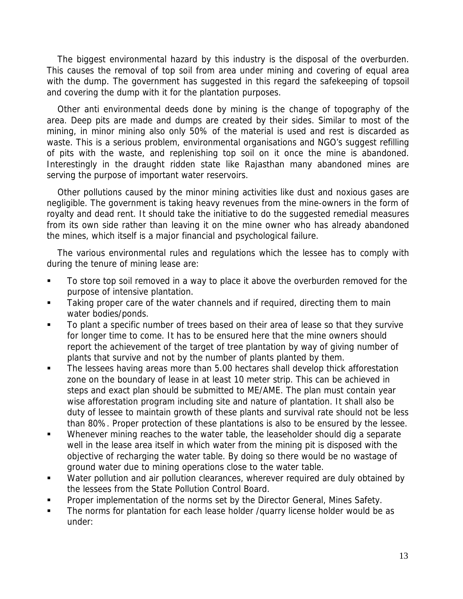The biggest environmental hazard by this industry is the disposal of the overburden. This causes the removal of top soil from area under mining and covering of equal area with the dump. The government has suggested in this regard the safekeeping of topsoil and covering the dump with it for the plantation purposes.

Other anti environmental deeds done by mining is the change of topography of the area. Deep pits are made and dumps are created by their sides. Similar to most of the mining, in minor mining also only 50% of the material is used and rest is discarded as waste. This is a serious problem, environmental organisations and NGO's suggest refilling of pits with the waste, and replenishing top soil on it once the mine is abandoned. Interestingly in the draught ridden state like Rajasthan many abandoned mines are serving the purpose of important water reservoirs.

Other pollutions caused by the minor mining activities like dust and noxious gases are negligible. The government is taking heavy revenues from the mine-owners in the form of royalty and dead rent. It should take the initiative to do the suggested remedial measures from its own side rather than leaving it on the mine owner who has already abandoned the mines, which itself is a major financial and psychological failure.

The various environmental rules and regulations which the lessee has to comply with during the tenure of mining lease are:

- To store top soil removed in a way to place it above the overburden removed for the purpose of intensive plantation.
- Taking proper care of the water channels and if required, directing them to main water bodies/ponds.
- To plant a specific number of trees based on their area of lease so that they survive for longer time to come. It has to be ensured here that the mine owners should report the achievement of the target of tree plantation by way of giving number of plants that survive and not by the number of plants planted by them.
- The lessees having areas more than 5.00 hectares shall develop thick afforestation zone on the boundary of lease in at least 10 meter strip. This can be achieved in steps and exact plan should be submitted to ME/AME. The plan must contain year wise afforestation program including site and nature of plantation. It shall also be duty of lessee to maintain growth of these plants and survival rate should not be less than 80%. Proper protection of these plantations is also to be ensured by the lessee.
- Whenever mining reaches to the water table, the leaseholder should dig a separate well in the lease area itself in which water from the mining pit is disposed with the objective of recharging the water table. By doing so there would be no wastage of ground water due to mining operations close to the water table.
- **Water pollution and air pollution clearances, wherever required are duly obtained by** the lessees from the State Pollution Control Board.
- Proper implementation of the norms set by the Director General, Mines Safety.
- The norms for plantation for each lease holder /quarry license holder would be as under: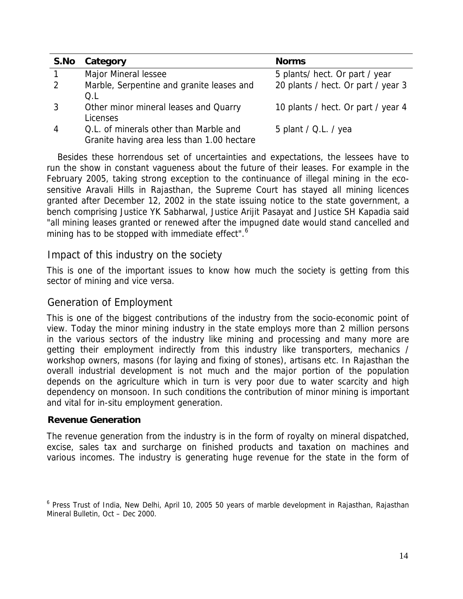| S.No | Category                                                                             | <b>Norms</b>                       |
|------|--------------------------------------------------------------------------------------|------------------------------------|
|      | Major Mineral lessee                                                                 | 5 plants/ hect. Or part / year     |
| 2    | Marble, Serpentine and granite leases and<br>O.L                                     | 20 plants / hect. Or part / year 3 |
| 3    | Other minor mineral leases and Quarry<br>Licenses                                    | 10 plants / hect. Or part / year 4 |
| 4    | Q.L. of minerals other than Marble and<br>Granite having area less than 1.00 hectare | 5 plant / $Q.L.$ / yea             |

Besides these horrendous set of uncertainties and expectations, the lessees have to run the show in constant vagueness about the future of their leases. For example in the February 2005, taking strong exception to the continuance of illegal mining in the ecosensitive Aravali Hills in Rajasthan, the Supreme Court has stayed all mining licences granted after December 12, 2002 in the state issuing notice to the state government, a bench comprising Justice YK Sabharwal, Justice Arijit Pasayat and Justice SH Kapadia said "all mining leases granted or renewed after the impugned date would stand cancelled and mining has to be stopped with immediate effect".<sup>[6](#page-13-0)</sup>

### Impact of this industry on the society

This is one of the important issues to know how much the society is getting from this sector of mining and vice versa.

### Generation of Employment

This is one of the biggest contributions of the industry from the socio-economic point of view. Today the minor mining industry in the state employs more than 2 million persons in the various sectors of the industry like mining and processing and many more are getting their employment indirectly from this industry like transporters, mechanics / workshop owners, masons (for laying and fixing of stones), artisans etc. In Rajasthan the overall industrial development is not much and the major portion of the population depends on the agriculture which in turn is very poor due to water scarcity and high dependency on monsoon. In such conditions the contribution of minor mining is important and vital for in-situ employment generation.

### **Revenue Generation**

The revenue generation from the industry is in the form of royalty on mineral dispatched, excise, sales tax and surcharge on finished products and taxation on machines and various incomes. The industry is generating huge revenue for the state in the form of

<span id="page-13-0"></span><sup>&</sup>lt;sup>6</sup> Press Trust of India, New Delhi, April 10, 2005 50 years of marble development in Rajasthan, Rajasthan Mineral Bulletin, Oct – Dec 2000.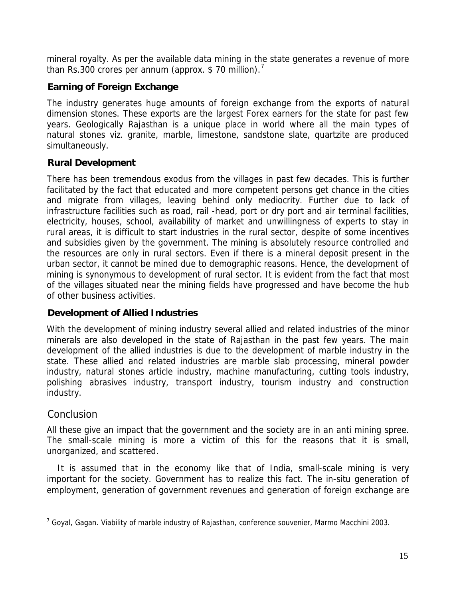mineral royalty. As per the available data mining in the state generates a revenue of more than Rs.300 crores per annum (approx. \$[7](#page-14-0)0 million).<sup>7</sup>

## **Earning of Foreign Exchange**

The industry generates huge amounts of foreign exchange from the exports of natural dimension stones. These exports are the largest Forex earners for the state for past few years. Geologically Rajasthan is a unique place in world where all the main types of natural stones viz. granite, marble, limestone, sandstone slate, quartzite are produced simultaneously.

## **Rural Development**

There has been tremendous exodus from the villages in past few decades. This is further facilitated by the fact that educated and more competent persons get chance in the cities and migrate from villages, leaving behind only mediocrity. Further due to lack of infrastructure facilities such as road, rail -head, port or dry port and air terminal facilities, electricity, houses, school, availability of market and unwillingness of experts to stay in rural areas, it is difficult to start industries in the rural sector, despite of some incentives and subsidies given by the government. The mining is absolutely resource controlled and the resources are only in rural sectors. Even if there is a mineral deposit present in the urban sector, it cannot be mined due to demographic reasons. Hence, the development of mining is synonymous to development of rural sector. It is evident from the fact that most of the villages situated near the mining fields have progressed and have become the hub of other business activities.

## **Development of Allied Industries**

With the development of mining industry several allied and related industries of the minor minerals are also developed in the state of Rajasthan in the past few years. The main development of the allied industries is due to the development of marble industry in the state. These allied and related industries are marble slab processing, mineral powder industry, natural stones article industry, machine manufacturing, cutting tools industry, polishing abrasives industry, transport industry, tourism industry and construction industry.

# **Conclusion**

All these give an impact that the government and the society are in an anti mining spree. The small-scale mining is more a victim of this for the reasons that it is small, unorganized, and scattered.

It is assumed that in the economy like that of India, small-scale mining is very important for the society. Government has to realize this fact. The in-situ generation of employment, generation of government revenues and generation of foreign exchange are

<span id="page-14-0"></span><sup>&</sup>lt;sup>7</sup> Goyal, Gagan. Viability of marble industry of Rajasthan, conference souvenier, Marmo Macchini 2003.